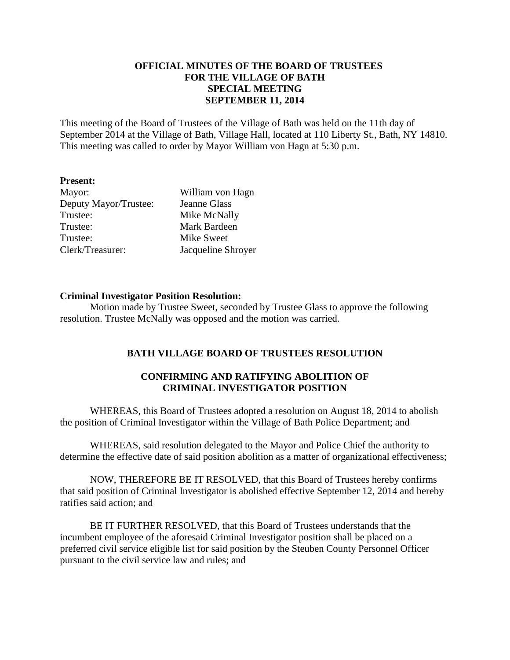## **OFFICIAL MINUTES OF THE BOARD OF TRUSTEES FOR THE VILLAGE OF BATH SPECIAL MEETING SEPTEMBER 11, 2014**

This meeting of the Board of Trustees of the Village of Bath was held on the 11th day of September 2014 at the Village of Bath, Village Hall, located at 110 Liberty St., Bath, NY 14810. This meeting was called to order by Mayor William von Hagn at 5:30 p.m.

### **Present:**

| Mayor:                | William von Hagn   |
|-----------------------|--------------------|
| Deputy Mayor/Trustee: | Jeanne Glass       |
| Trustee:              | Mike McNally       |
| Trustee:              | Mark Bardeen       |
| Trustee:              | <b>Mike Sweet</b>  |
| Clerk/Treasurer:      | Jacqueline Shroyer |

### **Criminal Investigator Position Resolution:**

Motion made by Trustee Sweet, seconded by Trustee Glass to approve the following resolution. Trustee McNally was opposed and the motion was carried.

# **BATH VILLAGE BOARD OF TRUSTEES RESOLUTION**

## **CONFIRMING AND RATIFYING ABOLITION OF CRIMINAL INVESTIGATOR POSITION**

WHEREAS, this Board of Trustees adopted a resolution on August 18, 2014 to abolish the position of Criminal Investigator within the Village of Bath Police Department; and

WHEREAS, said resolution delegated to the Mayor and Police Chief the authority to determine the effective date of said position abolition as a matter of organizational effectiveness;

NOW, THEREFORE BE IT RESOLVED, that this Board of Trustees hereby confirms that said position of Criminal Investigator is abolished effective September 12, 2014 and hereby ratifies said action; and

BE IT FURTHER RESOLVED, that this Board of Trustees understands that the incumbent employee of the aforesaid Criminal Investigator position shall be placed on a preferred civil service eligible list for said position by the Steuben County Personnel Officer pursuant to the civil service law and rules; and